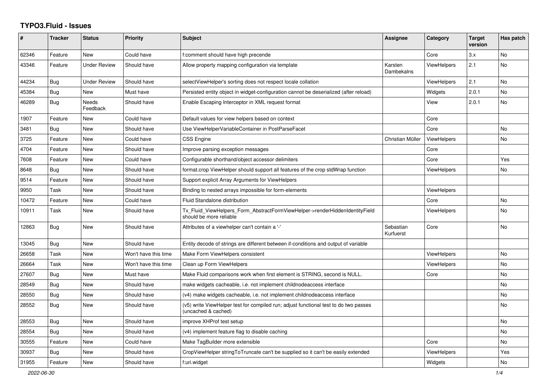## **TYPO3.Fluid - Issues**

| ∦     | <b>Tracker</b> | <b>Status</b>            | <b>Priority</b>      | <b>Subject</b>                                                                                              | Assignee               | Category           | <b>Target</b><br>version | Has patch      |
|-------|----------------|--------------------------|----------------------|-------------------------------------------------------------------------------------------------------------|------------------------|--------------------|--------------------------|----------------|
| 62346 | Feature        | <b>New</b>               | Could have           | f:comment should have high precende                                                                         |                        | Core               | 3.x                      | N <sub>o</sub> |
| 43346 | Feature        | <b>Under Review</b>      | Should have          | Allow property mapping configuration via template                                                           | Karsten<br>Dambekalns  | <b>ViewHelpers</b> | 2.1                      | No             |
| 44234 | Bug            | <b>Under Review</b>      | Should have          | selectViewHelper's sorting does not respect locale collation                                                |                        | <b>ViewHelpers</b> | 2.1                      | <b>No</b>      |
| 45384 | Bug            | New                      | Must have            | Persisted entity object in widget-configuration cannot be deserialized (after reload)                       |                        | Widgets            | 2.0.1                    | <b>No</b>      |
| 46289 | <b>Bug</b>     | <b>Needs</b><br>Feedback | Should have          | Enable Escaping Interceptor in XML request format                                                           |                        | View               | 2.0.1                    | <b>No</b>      |
| 1907  | Feature        | New                      | Could have           | Default values for view helpers based on context                                                            |                        | Core               |                          |                |
| 3481  | Bug            | <b>New</b>               | Should have          | Use ViewHelperVariableContainer in PostParseFacet                                                           |                        | Core               |                          | No             |
| 3725  | Feature        | <b>New</b>               | Could have           | <b>CSS Engine</b>                                                                                           | Christian Müller       | <b>ViewHelpers</b> |                          | <b>No</b>      |
| 4704  | Feature        | New                      | Should have          | Improve parsing exception messages                                                                          |                        | Core               |                          |                |
| 7608  | Feature        | <b>New</b>               | Could have           | Configurable shorthand/object accessor delimiters                                                           |                        | Core               |                          | Yes            |
| 8648  | <b>Bug</b>     | New                      | Should have          | format.crop ViewHelper should support all features of the crop stdWrap function                             |                        | <b>ViewHelpers</b> |                          | <b>No</b>      |
| 9514  | Feature        | New                      | Should have          | Support explicit Array Arguments for ViewHelpers                                                            |                        |                    |                          |                |
| 9950  | Task           | <b>New</b>               | Should have          | Binding to nested arrays impossible for form-elements                                                       |                        | <b>ViewHelpers</b> |                          |                |
| 10472 | Feature        | <b>New</b>               | Could have           | Fluid Standalone distribution                                                                               |                        | Core               |                          | No             |
| 10911 | Task           | New                      | Should have          | Tx Fluid ViewHelpers Form AbstractFormViewHelper->renderHiddenIdentityField<br>should be more reliable      |                        | <b>ViewHelpers</b> |                          | <b>No</b>      |
| 12863 | Bug            | New                      | Should have          | Attributes of a viewhelper can't contain a '-'                                                              | Sebastian<br>Kurfuerst | Core               |                          | No             |
| 13045 | Bug            | <b>New</b>               | Should have          | Entity decode of strings are different between if-conditions and output of variable                         |                        |                    |                          |                |
| 26658 | Task           | New                      | Won't have this time | Make Form ViewHelpers consistent                                                                            |                        | <b>ViewHelpers</b> |                          | <b>No</b>      |
| 26664 | Task           | <b>New</b>               | Won't have this time | Clean up Form ViewHelpers                                                                                   |                        | <b>ViewHelpers</b> |                          | <b>No</b>      |
| 27607 | Bug            | New                      | Must have            | Make Fluid comparisons work when first element is STRING, second is NULL.                                   |                        | Core               |                          | No             |
| 28549 | <b>Bug</b>     | New                      | Should have          | make widgets cacheable, i.e. not implement childnodeaccess interface                                        |                        |                    |                          | No             |
| 28550 | Bug            | New                      | Should have          | (v4) make widgets cacheable, i.e. not implement childnodeaccess interface                                   |                        |                    |                          | <b>No</b>      |
| 28552 | Bug            | New                      | Should have          | (v5) write ViewHelper test for compiled run; adjust functional test to do two passes<br>(uncached & cached) |                        |                    |                          | No             |
| 28553 | Bug            | <b>New</b>               | Should have          | improve XHProf test setup                                                                                   |                        |                    |                          | No             |
| 28554 | Bug            | New                      | Should have          | (v4) implement feature flag to disable caching                                                              |                        |                    |                          | No             |
| 30555 | Feature        | New                      | Could have           | Make TagBuilder more extensible                                                                             |                        | Core               |                          | No             |
| 30937 | Bug            | New                      | Should have          | CropViewHelper stringToTruncate can't be supplied so it can't be easily extended                            |                        | <b>ViewHelpers</b> |                          | Yes            |
| 31955 | Feature        | <b>New</b>               | Should have          | f:uri.widget                                                                                                |                        | Widgets            |                          | <b>No</b>      |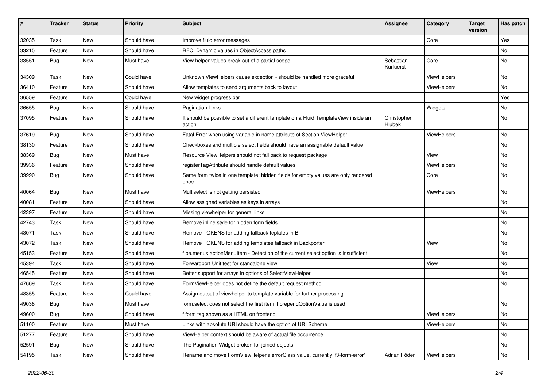| #     | <b>Tracker</b> | <b>Status</b> | <b>Priority</b> | <b>Subject</b>                                                                                | Assignee               | Category           | <b>Target</b><br>version | Has patch |
|-------|----------------|---------------|-----------------|-----------------------------------------------------------------------------------------------|------------------------|--------------------|--------------------------|-----------|
| 32035 | Task           | New           | Should have     | Improve fluid error messages                                                                  |                        | Core               |                          | Yes       |
| 33215 | Feature        | New           | Should have     | RFC: Dynamic values in ObjectAccess paths                                                     |                        |                    |                          | No        |
| 33551 | Bug            | New           | Must have       | View helper values break out of a partial scope                                               | Sebastian<br>Kurfuerst | Core               |                          | No        |
| 34309 | Task           | New           | Could have      | Unknown ViewHelpers cause exception - should be handled more graceful                         |                        | <b>ViewHelpers</b> |                          | No        |
| 36410 | Feature        | <b>New</b>    | Should have     | Allow templates to send arguments back to layout                                              |                        | ViewHelpers        |                          | No        |
| 36559 | Feature        | New           | Could have      | New widget progress bar                                                                       |                        |                    |                          | Yes       |
| 36655 | Bug            | New           | Should have     | <b>Pagination Links</b>                                                                       |                        | Widgets            |                          | No        |
| 37095 | Feature        | New           | Should have     | It should be possible to set a different template on a Fluid TemplateView inside an<br>action | Christopher<br>Hlubek  |                    |                          | No        |
| 37619 | Bug            | New           | Should have     | Fatal Error when using variable in name attribute of Section ViewHelper                       |                        | ViewHelpers        |                          | No        |
| 38130 | Feature        | <b>New</b>    | Should have     | Checkboxes and multiple select fields should have an assignable default value                 |                        |                    |                          | No        |
| 38369 | Bug            | New           | Must have       | Resource ViewHelpers should not fall back to request package                                  |                        | View               |                          | No        |
| 39936 | Feature        | <b>New</b>    | Should have     | registerTagAttribute should handle default values                                             |                        | ViewHelpers        |                          | No        |
| 39990 | Bug            | New           | Should have     | Same form twice in one template: hidden fields for empty values are only rendered<br>once     |                        | Core               |                          | No        |
| 40064 | Bug            | New           | Must have       | Multiselect is not getting persisted                                                          |                        | ViewHelpers        |                          | No        |
| 40081 | Feature        | New           | Should have     | Allow assigned variables as keys in arrays                                                    |                        |                    |                          | No        |
| 42397 | Feature        | New           | Should have     | Missing viewhelper for general links                                                          |                        |                    |                          | No        |
| 42743 | Task           | New           | Should have     | Remove inline style for hidden form fields                                                    |                        |                    |                          | No        |
| 43071 | Task           | New           | Should have     | Remove TOKENS for adding fallback teplates in B                                               |                        |                    |                          | No        |
| 43072 | Task           | New           | Should have     | Remove TOKENS for adding templates fallback in Backporter                                     |                        | View               |                          | No        |
| 45153 | Feature        | New           | Should have     | f:be.menus.actionMenuItem - Detection of the current select option is insufficient            |                        |                    |                          | No        |
| 45394 | Task           | New           | Should have     | Forwardport Unit test for standalone view                                                     |                        | View               |                          | No        |
| 46545 | Feature        | New           | Should have     | Better support for arrays in options of SelectViewHelper                                      |                        |                    |                          | No        |
| 47669 | Task           | New           | Should have     | FormViewHelper does not define the default request method                                     |                        |                    |                          | No        |
| 48355 | Feature        | New           | Could have      | Assign output of viewhelper to template variable for further processing.                      |                        |                    |                          |           |
| 49038 | <b>Bug</b>     | New           | Must have       | form.select does not select the first item if prependOptionValue is used                      |                        |                    |                          | No        |
| 49600 | <b>Bug</b>     | New           | Should have     | f:form tag shown as a HTML on frontend                                                        |                        | ViewHelpers        |                          | No        |
| 51100 | Feature        | New           | Must have       | Links with absolute URI should have the option of URI Scheme                                  |                        | ViewHelpers        |                          | No        |
| 51277 | Feature        | New           | Should have     | ViewHelper context should be aware of actual file occurrence                                  |                        |                    |                          | No        |
| 52591 | Bug            | New           | Should have     | The Pagination Widget broken for joined objects                                               |                        |                    |                          | No        |
| 54195 | Task           | New           | Should have     | Rename and move FormViewHelper's errorClass value, currently 'f3-form-error'                  | Adrian Föder           | ViewHelpers        |                          | No        |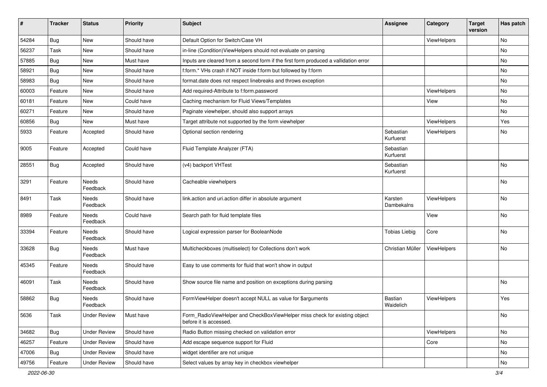| #     | <b>Tracker</b> | <b>Status</b>            | <b>Priority</b> | <b>Subject</b>                                                                                       | <b>Assignee</b>        | Category    | <b>Target</b><br>version | Has patch |
|-------|----------------|--------------------------|-----------------|------------------------------------------------------------------------------------------------------|------------------------|-------------|--------------------------|-----------|
| 54284 | Bug            | New                      | Should have     | Default Option for Switch/Case VH                                                                    |                        | ViewHelpers |                          | No        |
| 56237 | Task           | New                      | Should have     | in-line (Condition) View Helpers should not evaluate on parsing                                      |                        |             |                          | No        |
| 57885 | Bug            | New                      | Must have       | Inputs are cleared from a second form if the first form produced a vallidation error                 |                        |             |                          | No        |
| 58921 | Bug            | New                      | Should have     | f:form.* VHs crash if NOT inside f:form but followed by f:form                                       |                        |             |                          | No        |
| 58983 | Bug            | New                      | Should have     | format.date does not respect linebreaks and throws exception                                         |                        |             |                          | No        |
| 60003 | Feature        | New                      | Should have     | Add required-Attribute to f:form.password                                                            |                        | ViewHelpers |                          | No        |
| 60181 | Feature        | New                      | Could have      | Caching mechanism for Fluid Views/Templates                                                          |                        | View        |                          | No        |
| 60271 | Feature        | New                      | Should have     | Paginate viewhelper, should also support arrays                                                      |                        |             |                          | No        |
| 60856 | Bug            | New                      | Must have       | Target attribute not supported by the form viewhelper                                                |                        | ViewHelpers |                          | Yes       |
| 5933  | Feature        | Accepted                 | Should have     | Optional section rendering                                                                           | Sebastian<br>Kurfuerst | ViewHelpers |                          | No        |
| 9005  | Feature        | Accepted                 | Could have      | Fluid Template Analyzer (FTA)                                                                        | Sebastian<br>Kurfuerst |             |                          |           |
| 28551 | Bug            | Accepted                 | Should have     | (v4) backport VHTest                                                                                 | Sebastian<br>Kurfuerst |             |                          | <b>No</b> |
| 3291  | Feature        | <b>Needs</b><br>Feedback | Should have     | Cacheable viewhelpers                                                                                |                        |             |                          | No        |
| 8491  | Task           | Needs<br>Feedback        | Should have     | link.action and uri.action differ in absolute argument                                               | Karsten<br>Dambekalns  | ViewHelpers |                          | No        |
| 8989  | Feature        | Needs<br>Feedback        | Could have      | Search path for fluid template files                                                                 |                        | View        |                          | No        |
| 33394 | Feature        | Needs<br>Feedback        | Should have     | Logical expression parser for BooleanNode                                                            | <b>Tobias Liebig</b>   | Core        |                          | No        |
| 33628 | Bug            | Needs<br>Feedback        | Must have       | Multicheckboxes (multiselect) for Collections don't work                                             | Christian Müller       | ViewHelpers |                          | No        |
| 45345 | Feature        | Needs<br>Feedback        | Should have     | Easy to use comments for fluid that won't show in output                                             |                        |             |                          |           |
| 46091 | Task           | <b>Needs</b><br>Feedback | Should have     | Show source file name and position on exceptions during parsing                                      |                        |             |                          | No        |
| 58862 | <b>Bug</b>     | Needs<br>Feedback        | Should have     | FormViewHelper doesn't accept NULL as value for \$arguments                                          | Bastian<br>Waidelich   | ViewHelpers |                          | Yes       |
| 5636  | Task           | <b>Under Review</b>      | Must have       | Form_RadioViewHelper and CheckBoxViewHelper miss check for existing object<br>before it is accessed. |                        |             |                          | No        |
| 34682 | <b>Bug</b>     | <b>Under Review</b>      | Should have     | Radio Button missing checked on validation error                                                     |                        | ViewHelpers |                          | No        |
| 46257 | Feature        | <b>Under Review</b>      | Should have     | Add escape sequence support for Fluid                                                                |                        | Core        |                          | No        |
| 47006 | Bug            | <b>Under Review</b>      | Should have     | widget identifier are not unique                                                                     |                        |             |                          | No        |
| 49756 | Feature        | <b>Under Review</b>      | Should have     | Select values by array key in checkbox viewhelper                                                    |                        |             |                          | No        |